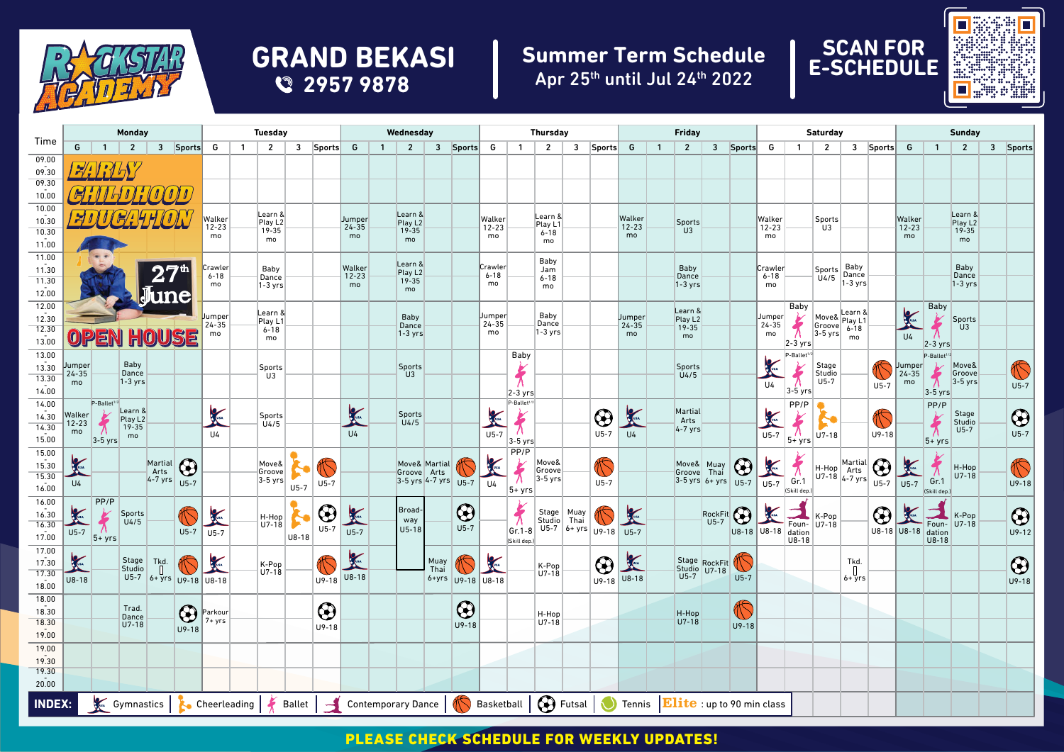

## **GRAND BEKASI 2957 9878**

## **Summer Term Schedule** Apr 25th until Jul 24th 2022





|                                                        | <b>Monday</b>                                  |                         |                                |                                                    |                      | <b>Tuesday</b>                                                                                                            |                |                          |         |                                              |                                                                                                                                                                                                                                      | Wednesday      |                                     |              |            |                                                               | <b>Thursday</b>          |                             |              |                        |                     | <b>Friday</b>  |                                                             |                        |                   |                     | Saturday                |                                    |                                 |                    |                                   | <b>Sunday</b>              |                         |  |            |
|--------------------------------------------------------|------------------------------------------------|-------------------------|--------------------------------|----------------------------------------------------|----------------------|---------------------------------------------------------------------------------------------------------------------------|----------------|--------------------------|---------|----------------------------------------------|--------------------------------------------------------------------------------------------------------------------------------------------------------------------------------------------------------------------------------------|----------------|-------------------------------------|--------------|------------|---------------------------------------------------------------|--------------------------|-----------------------------|--------------|------------------------|---------------------|----------------|-------------------------------------------------------------|------------------------|-------------------|---------------------|-------------------------|------------------------------------|---------------------------------|--------------------|-----------------------------------|----------------------------|-------------------------|--|------------|
| Time                                                   | G                                              | $\overline{1}$          | $\overline{2}$                 |                                                    | 3 Sports             | G                                                                                                                         | $\overline{1}$ | $\overline{2}$           | 3       | Sports                                       | G                                                                                                                                                                                                                                    | $\overline{1}$ | $\overline{2}$                      |              | 3 Sports   | G                                                             | $\mathbf{1}$             | $\overline{2}$              | $\mathbf{3}$ | Sports                 | G                   | $\overline{1}$ | $\overline{2}$                                              |                        | 3 Sports          | G                   | $\overline{1}$          | $\overline{2}$                     |                                 | 3 Sports           | G                                 | $\overline{1}$             | $\overline{2}$          |  | 3 Sports   |
| 09.00                                                  |                                                |                         |                                |                                                    |                      |                                                                                                                           |                |                          |         |                                              |                                                                                                                                                                                                                                      |                |                                     |              |            |                                                               |                          |                             |              |                        |                     |                |                                                             |                        |                   |                     |                         |                                    |                                 |                    |                                   |                            |                         |  |            |
| 09.30<br>09.30                                         |                                                |                         |                                |                                                    |                      |                                                                                                                           |                |                          |         |                                              |                                                                                                                                                                                                                                      |                |                                     |              |            |                                                               |                          |                             |              |                        |                     |                |                                                             |                        |                   |                     |                         |                                    |                                 |                    |                                   |                            |                         |  |            |
| 10.00                                                  |                                                |                         |                                |                                                    |                      |                                                                                                                           |                |                          |         |                                              |                                                                                                                                                                                                                                      |                |                                     |              |            |                                                               |                          |                             |              |                        |                     |                |                                                             |                        |                   |                     |                         |                                    |                                 |                    |                                   |                            |                         |  |            |
| 10.00                                                  |                                                |                         |                                |                                                    |                      |                                                                                                                           |                | Learn &                  |         |                                              |                                                                                                                                                                                                                                      |                | Learn &                             |              |            |                                                               |                          |                             |              |                        |                     |                |                                                             |                        |                   |                     |                         |                                    |                                 |                    |                                   |                            | Learn &                 |  |            |
| 10.30                                                  |                                                |                         |                                |                                                    |                      | Walker<br>$12 - 23$                                                                                                       |                | Play L <sub>2</sub>      |         |                                              | Jumper<br>24-35                                                                                                                                                                                                                      |                | Play L <sub>2</sub>                 |              |            | Walker<br>$12 - 23$                                           |                          | Learn &<br>Play L1          |              |                        | Walker<br>$12 - 23$ |                | <b>Sports</b><br>U3                                         |                        |                   | Walker<br>$12 - 23$ |                         | Sports<br>U <sub>3</sub>           |                                 |                    | Walker<br>$12 - 23$               |                            | Play L <sub>2</sub>     |  |            |
| 10.30<br>11.00                                         |                                                |                         |                                |                                                    |                      | mo                                                                                                                        |                | 19-35<br>mo              |         |                                              | mo                                                                                                                                                                                                                                   |                | $19 - 35$<br>mo                     |              |            | mo                                                            |                          | $6 - 18$<br>mo              |              |                        | mo                  |                |                                                             |                        |                   | mo                  |                         |                                    |                                 |                    | mo                                |                            | $19 - 35$<br>mo         |  |            |
| 11.00                                                  |                                                |                         |                                |                                                    |                      |                                                                                                                           |                |                          |         |                                              |                                                                                                                                                                                                                                      |                |                                     |              |            |                                                               |                          |                             |              |                        |                     |                |                                                             |                        |                   |                     |                         |                                    |                                 |                    |                                   |                            |                         |  |            |
| 11.30                                                  |                                                |                         |                                | $\overline{{\bf 27}^{\scriptscriptstyle{\rm th}}}$ |                      | Crawler                                                                                                                   |                | Baby                     |         |                                              | Walker                                                                                                                                                                                                                               |                | Learn &<br>Play L <sub>2</sub>      |              |            | Crawler<br>$6 - 18$                                           |                          | Baby<br>Jam                 |              |                        |                     |                | Baby                                                        |                        |                   | Crawler             |                         | <b>Sports</b>                      | Baby<br>Dance                   |                    |                                   |                            | Baby<br>Dance           |  |            |
| $\frac{11.30}{12.00}$                                  |                                                |                         |                                |                                                    |                      | $6 - 18$<br>mo                                                                                                            |                | Dance<br>$1-3$ yrs       |         |                                              | $12 - 23$<br>mo                                                                                                                                                                                                                      |                | $19 - 35$<br>mo                     |              |            | mo                                                            |                          | $6 - 18$<br>mo              |              |                        |                     |                | Dance<br>$1-3$ yrs                                          |                        |                   | $6 - 18$<br>mo      |                         | U4/5                               | $1-3$ yrs                       |                    |                                   |                            | $1-3$ yrs               |  |            |
|                                                        |                                                |                         |                                | <b>June</b>                                        |                      |                                                                                                                           |                |                          |         |                                              |                                                                                                                                                                                                                                      |                |                                     |              |            |                                                               |                          |                             |              |                        |                     |                |                                                             |                        |                   |                     |                         |                                    |                                 |                    |                                   |                            |                         |  |            |
| 12.00<br>12.30                                         |                                                |                         |                                |                                                    |                      | Jumper                                                                                                                    |                | Learn &                  |         |                                              |                                                                                                                                                                                                                                      |                | Baby                                |              |            | Jumper                                                        |                          | Baby                        |              |                        | Jumper              |                | Learn &<br>Play L <sub>2</sub>                              |                        |                   | Jumper              | Baby                    | Move& Play L1                      |                                 |                    | $\sqrt{\frac{2}{1-x^2}}$          | <b>Baby</b>                |                         |  |            |
| 12.30                                                  |                                                |                         |                                |                                                    |                      | $24 - 35$<br>mo                                                                                                           |                | Play L1<br>$6 - 18$      |         |                                              |                                                                                                                                                                                                                                      |                | Dance<br>$1-3$ yrs                  |              |            | $24 - 35$<br>mo                                               |                          | Dance<br>$ 1-3 \rangle$ yrs |              |                        | $24 - 35$<br>mo     |                | $19 - 35$                                                   |                        |                   | $24 - 35$<br>mo     |                         | Move&<br>$ Groove $ $6-18$         |                                 |                    |                                   | $\pi$                      | Sports<br>U3            |  |            |
| 13.00                                                  |                                                | OPEN                    |                                | HOUSE                                              |                      |                                                                                                                           |                | mo                       |         |                                              |                                                                                                                                                                                                                                      |                |                                     |              |            |                                                               |                          |                             |              |                        |                     |                | mo                                                          |                        |                   |                     | $2-3$ yrs               |                                    | mo                              |                    | U <sub>4</sub>                    | $2-3$ yrs                  |                         |  |            |
| 13.00                                                  |                                                |                         | Baby                           |                                                    |                      |                                                                                                                           |                |                          |         |                                              |                                                                                                                                                                                                                                      |                |                                     |              |            |                                                               | Baby                     |                             |              |                        |                     |                |                                                             |                        |                   |                     | P-Ballet <sup>1/3</sup> |                                    |                                 |                    |                                   | P-Ballet <sup>1/2</sup>    |                         |  |            |
| 13.30<br>13.30                                         | Jumper<br>24-35                                |                         | Dance                          |                                                    |                      |                                                                                                                           |                | Sports<br>U <sub>3</sub> |         |                                              |                                                                                                                                                                                                                                      |                | <b>Sports</b><br>U <sub>3</sub>     |              |            |                                                               | $\frac{k}{\Lambda}$      |                             |              |                        |                     |                | <b>Sports</b><br>U4/5                                       |                        |                   | $\gamma$            | $\bigstar$              | Stage<br>Studio                    |                                 |                    | Jumper<br>24-35                   | Move&<br>Groove<br>3-5 yrs |                         |  | C          |
| 14.00                                                  | mo                                             |                         | $1-3$ yrs                      |                                                    |                      |                                                                                                                           |                |                          |         |                                              |                                                                                                                                                                                                                                      |                |                                     |              |            |                                                               | $2-3$ yrs                |                             |              |                        |                     |                |                                                             |                        |                   | U4                  | $ 3-5 \text{ yrs} $     | $U5-7$                             |                                 | $U5-7$             | mo                                | $3-5$ yrs                  |                         |  | $U5-7$     |
| 14.00                                                  |                                                | P-Ballet <sup>1/2</sup> |                                |                                                    |                      |                                                                                                                           |                |                          |         |                                              |                                                                                                                                                                                                                                      |                |                                     |              |            |                                                               | P-Ballet <sup>1/2</sup>  |                             |              |                        |                     |                |                                                             |                        |                   |                     | PP/P                    |                                    |                                 |                    |                                   | PP/P                       |                         |  |            |
| 14.30                                                  | Walker<br>$12 - 23$                            | $\bigstar$              | Learn &<br>Play L <sub>2</sub> |                                                    |                      | <b>A</b>                                                                                                                  |                | Sports<br>U4/5           |         |                                              | <b>CONTROL</b>                                                                                                                                                                                                                       |                | Sports<br>$\frac{04}{5}$            |              |            | K                                                             | $\frac{1}{\lambda}$      |                             |              | $\bigcirc$             | K                   |                | Martial<br>Arts                                             |                        |                   | K                   | $\bigstar$              |                                    |                                 | C                  |                                   | $\frac{1}{\lambda}$        | Stage<br>Studio<br>U5-7 |  | $\bigcirc$ |
| 14.30                                                  | mo                                             |                         | $19 - 35$<br>mo                |                                                    |                      | U <sub>4</sub>                                                                                                            |                |                          |         |                                              | U <sub>4</sub>                                                                                                                                                                                                                       |                |                                     |              |            | $U5-7$                                                        |                          |                             |              | $U5-7$                 | U4                  |                | $4-7$ yrs                                                   |                        |                   | $U5-7$              |                         | $U7-18$                            |                                 | $U9-18$            |                                   |                            |                         |  | $U5-7$     |
| 15.00<br>15.00                                         |                                                | $3-5$ yrs               |                                |                                                    |                      |                                                                                                                           |                |                          |         |                                              |                                                                                                                                                                                                                                      |                |                                     |              |            |                                                               | $3-5$ yrs<br>PP/P        |                             |              |                        |                     |                |                                                             |                        |                   |                     | $ 5+yrs $               |                                    |                                 |                    |                                   | $5 + yrs$                  |                         |  |            |
| 15.30                                                  | X                                              |                         |                                | Martial                                            | $\bigcirc$           |                                                                                                                           |                | Move&                    |         | $\mathcal{R}% _{M_{1},M_{2}}^{\ast}(\theta)$ |                                                                                                                                                                                                                                      |                | Move& Martial                       |              |            | <b>CONTROL</b>                                                |                          | Move&                       |              | t                      |                     |                | Move& Muay                                                  |                        | $\bigcirc$        | <b>CONST</b>        | $\bigstar$              |                                    |                                 |                    | $\frac{1}{\sqrt{2}}$              | $\bigstar$                 |                         |  | C          |
| 15.30                                                  | U4                                             |                         |                                |                                                    | Arts<br>4-7 yrs U5-7 |                                                                                                                           |                | Groove<br>$3-5$ yrs      |         | $U5-7$                                       |                                                                                                                                                                                                                                      |                | Groove Arts<br>3-5 yrs 4-7 yrs U5-7 |              |            | U4                                                            | $\frac{1}{\lambda}$      | Groove<br>$3-5$ yrs         |              | $U5-7$                 |                     |                | Groove Thai<br>$3-5$ yrs 6+ yrs U5-7                        |                        |                   | $U5-7$ Gr.1         |                         | $H-Hop$ Martial<br>U7-18 $4-7$ yrs |                                 | $\bigodot$<br>U5-7 | $U5-7$ Gr.1                       |                            | $H-Hop$<br>U7-18        |  | $U9-18$    |
| 16.00                                                  |                                                |                         |                                |                                                    |                      |                                                                                                                           |                |                          | $U5-7$  |                                              |                                                                                                                                                                                                                                      |                |                                     |              |            |                                                               | $ 5+$ yrs                |                             |              |                        |                     |                |                                                             |                        |                   |                     | (Skill dep.)            |                                    |                                 |                    |                                   | (Skill dep.)               |                         |  |            |
| 16.00                                                  |                                                | PP/P                    | Sports                         |                                                    |                      | <b>Company</b>                                                                                                            |                |                          |         | $\bigcirc$                                   |                                                                                                                                                                                                                                      |                | Broad-                              |              | $\bigcirc$ |                                                               |                          | Stage Muay                  |              |                        | K                   |                |                                                             |                        |                   |                     |                         |                                    |                                 | $\bigcirc$         | <b>Contract Contract Contract</b> |                            | K-Pop                   |  |            |
| $\frac{16.30}{16.30}$<br>17.00                         |                                                | $\pi$                   | U4/5                           |                                                    | C                    |                                                                                                                           |                | H-Hop<br>$U7-18$         |         | $U5-7$                                       | <b>Contract Contract Contract Contract Contract Contract Contract Contract Contract Contract Contract Contract Contract Contract Contract Contract Contract Contract Contract Contract Contract Contract Contract Contract Contr</b> |                | way<br>$U5-18$                      |              | $U5-7$     |                                                               | $\bigstar$               | Studio Thai                 |              | U5-7 6+ yrs U9-18 U5-7 |                     |                |                                                             | $-$ RockFit $\bigodot$ | U8-18 U8-18 Foun- |                     |                         | K-Pop<br>Foun- U7-18               |                                 | U8-18 U8-18        |                                   | Foun- $ U7-18$             |                         |  | $\bigcirc$ |
|                                                        | $U5-7$                                         | $5 + yrs$               |                                |                                                    | $U5-7$               | $U5-7$                                                                                                                    |                |                          | $U8-18$ |                                              | $U5-7$                                                                                                                                                                                                                               |                |                                     |              |            |                                                               | $Gr.1-8$<br>(Skill dep.) |                             |              |                        |                     |                |                                                             |                        |                   |                     | U8-18                   |                                    |                                 |                    |                                   | dation<br>$U8-18$          |                         |  | $U9-12$    |
| $\begin{array}{r} 17.00 \\ 17.30 \\ 17.30 \end{array}$ |                                                |                         |                                |                                                    |                      |                                                                                                                           |                |                          |         |                                              |                                                                                                                                                                                                                                      |                |                                     |              |            |                                                               |                          |                             |              |                        |                     |                |                                                             |                        |                   |                     |                         |                                    |                                 |                    |                                   |                            |                         |  |            |
|                                                        | <b>Contract Contract Contract Contract</b>     |                         | Stage Tkd.<br>Studio [         |                                                    | to                   | <b>Contract Contract Contract</b><br>Studio $\begin{bmatrix} 1 \\ 1 \\ 0 \\ -18 \end{bmatrix}$<br>US-7 6+ yrs U9-18 U8-18 |                | K-Pop<br>$U7-18$         |         |                                              | $\ast$                                                                                                                                                                                                                               |                |                                     | Muay<br>Thai |            | <b>Company</b>                                                |                          | $K-Pop$<br>$U7-18$          |              | $\bigcirc$             | <b>Algan</b>        |                | Stage RockFit<br>Studio U7-18<br>U5-7 U7-18                 |                        |                   |                     |                         |                                    | Tkd.<br>$\int_{6+ \text{ yrs}}$ |                    |                                   |                            |                         |  | $\bigcirc$ |
| 18.00                                                  | $U8-18$                                        |                         |                                |                                                    |                      |                                                                                                                           |                |                          |         | $U9-18$                                      | U8-18                                                                                                                                                                                                                                |                |                                     | $6 + yrs$    |            | U9-18 U8-18                                                   |                          |                             |              | U9-18 U8-18            |                     |                |                                                             |                        | $U5-7$            |                     |                         |                                    |                                 |                    |                                   |                            |                         |  | $U9-18$    |
| 18.00                                                  |                                                |                         |                                |                                                    |                      |                                                                                                                           |                |                          |         |                                              |                                                                                                                                                                                                                                      |                |                                     |              |            |                                                               |                          |                             |              |                        |                     |                |                                                             |                        |                   |                     |                         |                                    |                                 |                    |                                   |                            |                         |  |            |
| 18.30                                                  |                                                |                         | Trad.<br>Dance                 |                                                    | $\bigcirc$           | Parkour                                                                                                                   |                |                          |         | $\bigcirc$                                   |                                                                                                                                                                                                                                      |                |                                     |              | $\bigcirc$ |                                                               |                          | H-Hop                       |              |                        |                     |                | H-Hop                                                       |                        | C                 |                     |                         |                                    |                                 |                    |                                   |                            |                         |  |            |
| 18.30<br>19.00                                         |                                                |                         | $U7-18$                        |                                                    | $U9-18$              | $7 + yrs$                                                                                                                 |                |                          |         | $U9-18$                                      |                                                                                                                                                                                                                                      |                |                                     |              | $U9-18$    |                                                               |                          | $U7-18$                     |              |                        |                     |                | $U7-18$                                                     |                        | $U9-18$           |                     |                         |                                    |                                 |                    |                                   |                            |                         |  |            |
| 19.00                                                  |                                                |                         |                                |                                                    |                      |                                                                                                                           |                |                          |         |                                              |                                                                                                                                                                                                                                      |                |                                     |              |            |                                                               |                          |                             |              |                        |                     |                |                                                             |                        |                   |                     |                         |                                    |                                 |                    |                                   |                            |                         |  |            |
| 19.30                                                  |                                                |                         |                                |                                                    |                      |                                                                                                                           |                |                          |         |                                              |                                                                                                                                                                                                                                      |                |                                     |              |            |                                                               |                          |                             |              |                        |                     |                |                                                             |                        |                   |                     |                         |                                    |                                 |                    |                                   |                            |                         |  |            |
| 19.30                                                  |                                                |                         |                                |                                                    |                      |                                                                                                                           |                |                          |         |                                              |                                                                                                                                                                                                                                      |                |                                     |              |            |                                                               |                          |                             |              |                        |                     |                |                                                             |                        |                   |                     |                         |                                    |                                 |                    |                                   |                            |                         |  |            |
| 20.00                                                  |                                                |                         |                                |                                                    |                      |                                                                                                                           |                |                          |         |                                              |                                                                                                                                                                                                                                      |                |                                     |              |            |                                                               |                          |                             |              |                        |                     |                |                                                             |                        |                   |                     |                         |                                    |                                 |                    |                                   |                            |                         |  |            |
|                                                        | Gymnastics   & Cheerleading  <br><b>INDEX:</b> |                         |                                |                                                    |                      |                                                                                                                           |                |                          | Ballet  | $\mathcal{F}$                                |                                                                                                                                                                                                                                      |                |                                     |              |            | Contemporary Dance   <b>5</b> Basketball  <br><b>B</b> Futsal |                          |                             |              |                        |                     |                | $\bigcirc$ Tennis $\big $ <b>Elite</b> : up to 90 min class |                        |                   |                     |                         |                                    |                                 |                    |                                   |                            |                         |  |            |

## PLEASE CHECK SCHEDULE FOR WEEKLY UPDATES!